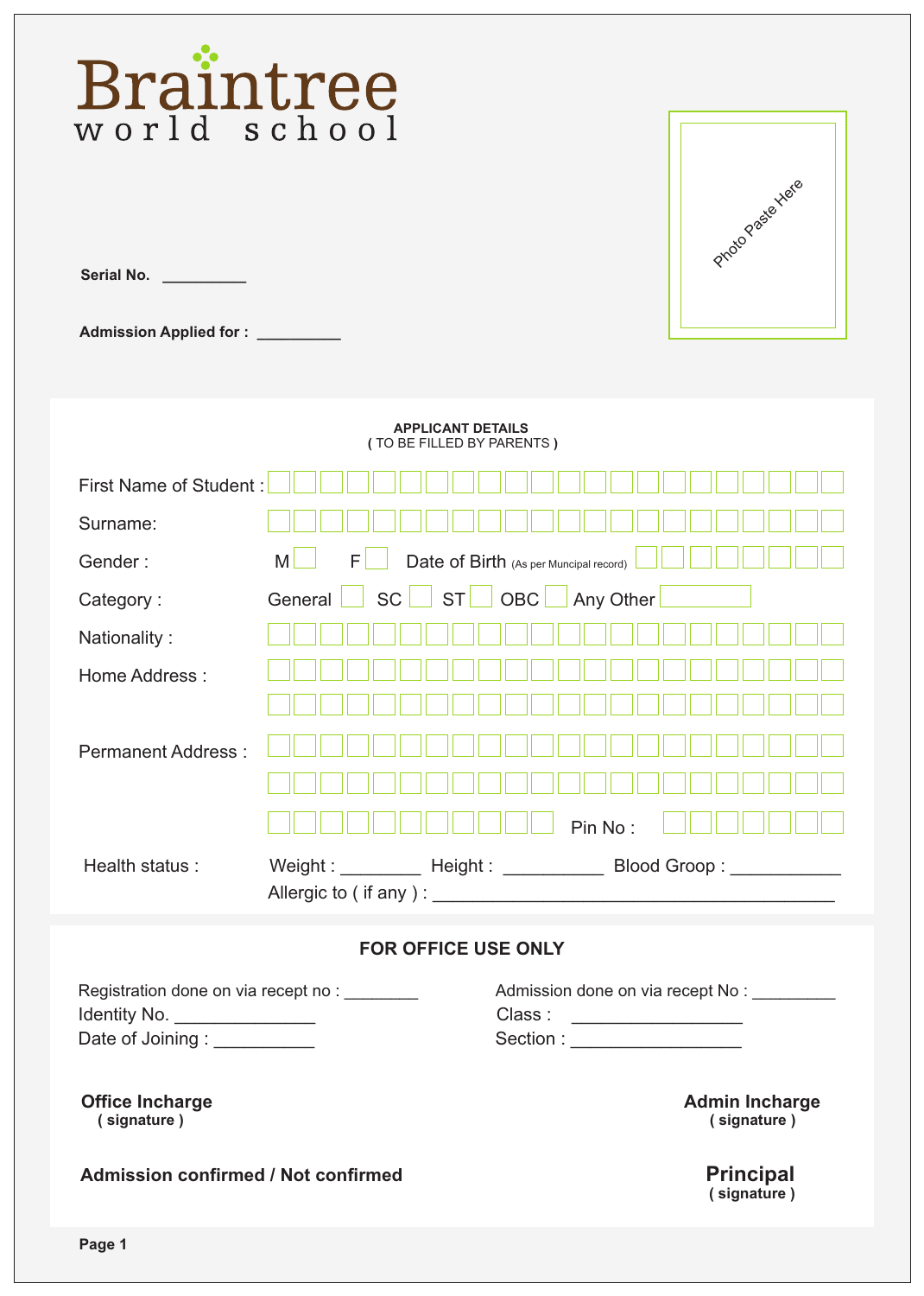| Braintree                                                                                                                                         |                                                                                                                                                                     |                                                                                                     |
|---------------------------------------------------------------------------------------------------------------------------------------------------|---------------------------------------------------------------------------------------------------------------------------------------------------------------------|-----------------------------------------------------------------------------------------------------|
| <b>Serial No.</b><br><b>Admission Applied for:</b>                                                                                                |                                                                                                                                                                     | Proto Paste Here                                                                                    |
|                                                                                                                                                   | <b>APPLICANT DETAILS</b><br>(TO BE FILLED BY PARENTS)                                                                                                               |                                                                                                     |
| <b>First Name of Student:</b><br>Surname:<br>Gender:<br>Category:<br>Nationality:<br>Home Address:<br><b>Permanent Address:</b><br>Health status: | F<br>M<br>Date of Birth (As per Muncipal record)<br><b>SC</b><br><b>ST</b><br>OBC<br>General<br>Weight : __________ Height : ____________ Blood Groop : ___________ | Any Other<br>Pin No:                                                                                |
|                                                                                                                                                   |                                                                                                                                                                     |                                                                                                     |
|                                                                                                                                                   | <b>FOR OFFICE USE ONLY</b>                                                                                                                                          |                                                                                                     |
| Registration done on via recept no : ________<br>Identity No. _________________<br>Date of Joining : __________                                   |                                                                                                                                                                     | Admission done on via recept No:<br>Class : _____________________<br>Section : ____________________ |
| <b>Office Incharge</b><br>(signature)                                                                                                             |                                                                                                                                                                     | <b>Admin Incharge</b><br>(signature)                                                                |
| <b>Admission confirmed / Not confirmed</b>                                                                                                        |                                                                                                                                                                     | <b>Principal</b><br>(signature)                                                                     |
| Page 1                                                                                                                                            |                                                                                                                                                                     |                                                                                                     |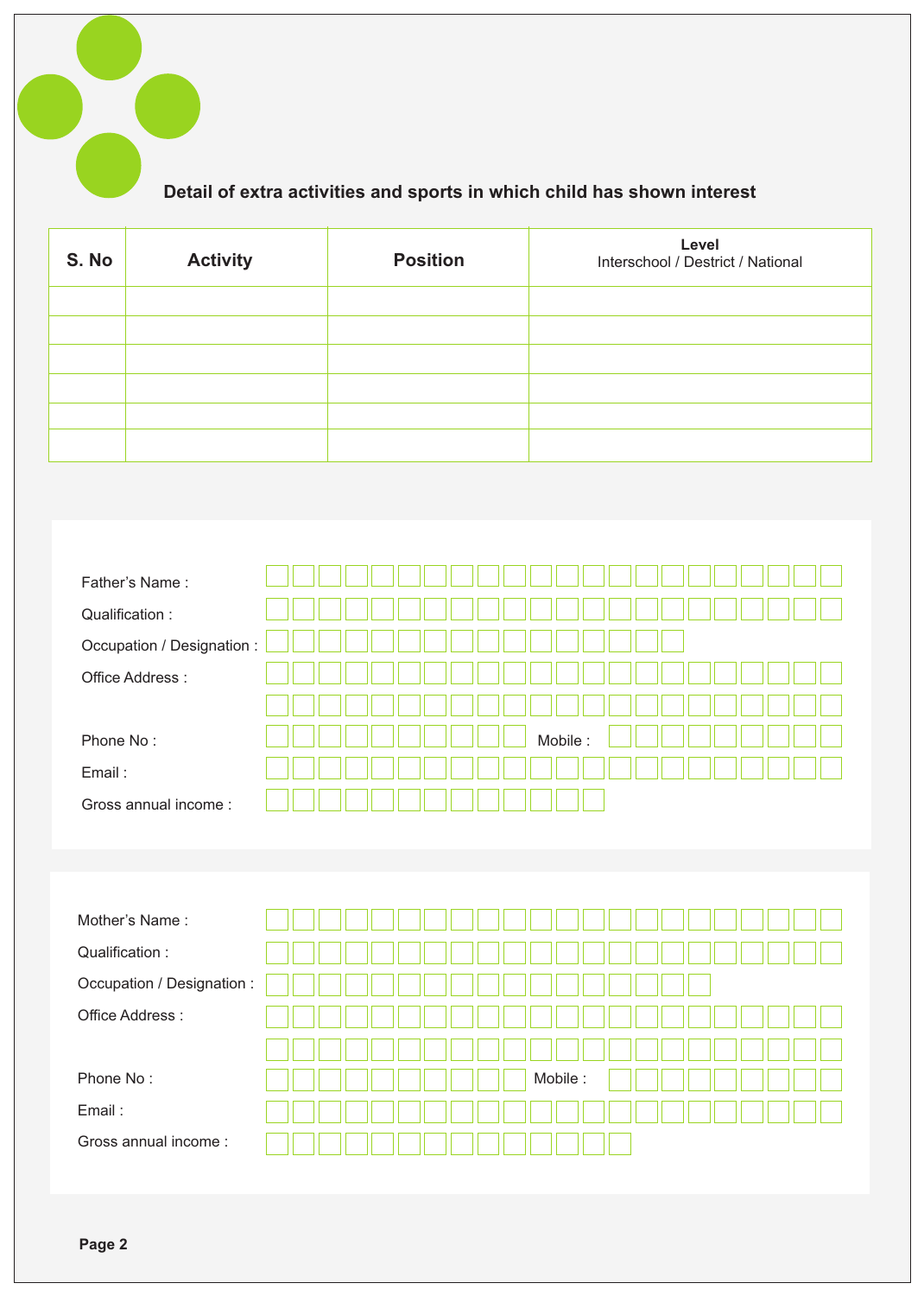

| S. No | <b>Activity</b> | <b>Position</b> | Level<br>Interschool / Destrict / National |
|-------|-----------------|-----------------|--------------------------------------------|
|       |                 |                 |                                            |
|       |                 |                 |                                            |
|       |                 |                 |                                            |
|       |                 |                 |                                            |
|       |                 |                 |                                            |
|       |                 |                 |                                            |

| Father's Name:             |         |
|----------------------------|---------|
| Qualification:             |         |
| Occupation / Designation : |         |
| Office Address:            |         |
|                            |         |
| Phone No:                  | Mobile: |
| Email:                     |         |
| Gross annual income:       |         |

| Mother's Name:             |  |  |  |  |  |         |  |  |  |  |  |  |
|----------------------------|--|--|--|--|--|---------|--|--|--|--|--|--|
| Qualification:             |  |  |  |  |  |         |  |  |  |  |  |  |
| Occupation / Designation : |  |  |  |  |  |         |  |  |  |  |  |  |
| Office Address:            |  |  |  |  |  |         |  |  |  |  |  |  |
|                            |  |  |  |  |  |         |  |  |  |  |  |  |
| Phone No:                  |  |  |  |  |  | Mobile: |  |  |  |  |  |  |
| Email:                     |  |  |  |  |  |         |  |  |  |  |  |  |
| Gross annual income:       |  |  |  |  |  |         |  |  |  |  |  |  |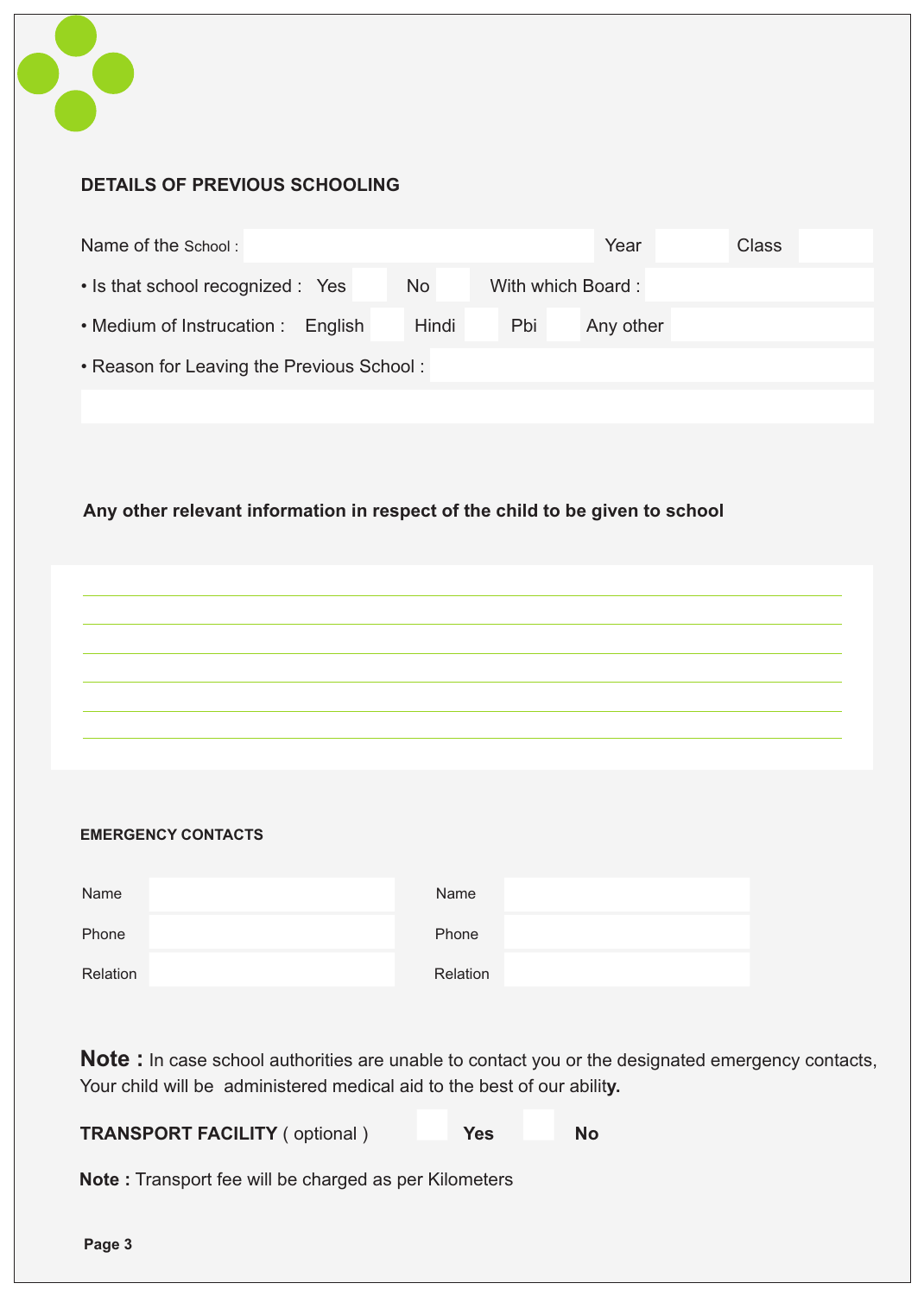

## **DETAILS OF PREVIOUS SCHOOLING**

| Name of the School:                       |           |                   | Year      | Class |  |  |  |  |  |
|-------------------------------------------|-----------|-------------------|-----------|-------|--|--|--|--|--|
| • Is that school recognized : Yes         | <b>No</b> | With which Board: |           |       |  |  |  |  |  |
| • Medium of Instrucation : English        | Hindi     | Pbi               | Any other |       |  |  |  |  |  |
| • Reason for Leaving the Previous School: |           |                   |           |       |  |  |  |  |  |
|                                           |           |                   |           |       |  |  |  |  |  |

## **Any other relevant information in respect of the child to be given to school**

## **EMERGENCY CONTACTS**

| Name     | Name     |
|----------|----------|
| Phone    | Phone    |
| Relation | Relation |

**Note :** In case school authorities are unable to contact you or the designated emergency contacts, Your child will be administered medical aid to the best of our abilit**y.**

**TRANSPORT FACILITY** ( optional ) **Yes** No

**Note :** Transport fee will be charged as per Kilometers